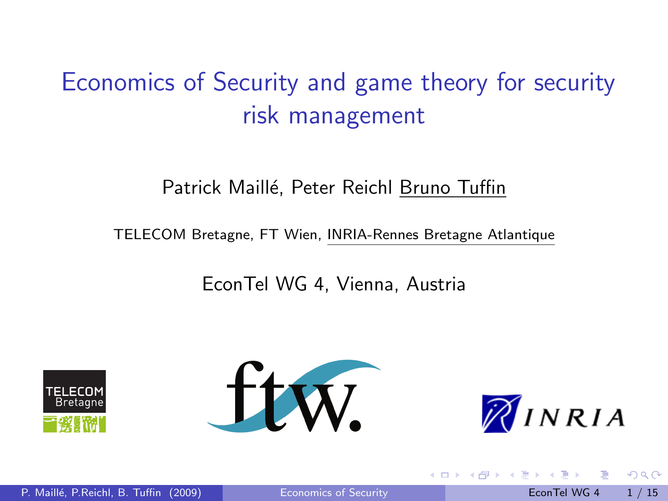# Economics of Security and game theory for security risk management

#### Patrick Maillé, Peter Reichl Bruno Tuffin

TELECOM Bretagne, FT Wien, INRIA-Rennes Bretagne Atlantique

EconTel WG 4, Vienna, Austria







<span id="page-0-0"></span> $\Omega$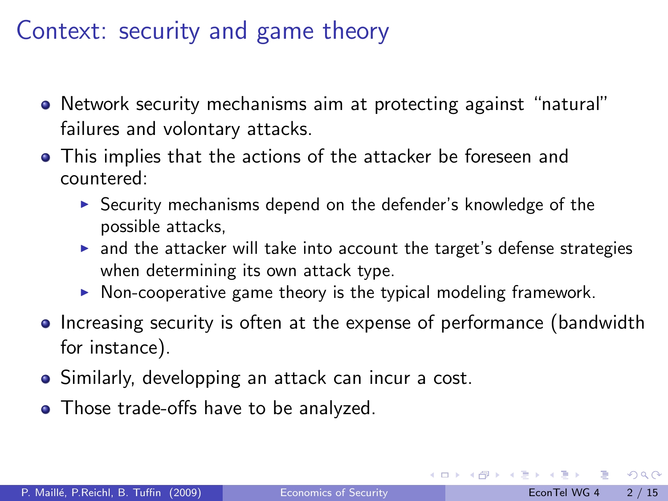#### Context: security and game theory

- Network security mechanisms aim at protecting against "natural" failures and volontary attacks.
- This implies that the actions of the attacker be foreseen and countered:
	- $\triangleright$  Security mechanisms depend on the defender's knowledge of the possible attacks,
	- $\blacktriangleright$  and the attacker will take into account the target's defense strategies when determining its own attack type.
	- $\triangleright$  Non-cooperative game theory is the typical modeling framework.
- Increasing security is often at the expense of performance (bandwidth for instance).
- Similarly, developping an attack can incur a cost.
- Those trade-offs have to be analyzed.

 $QQ$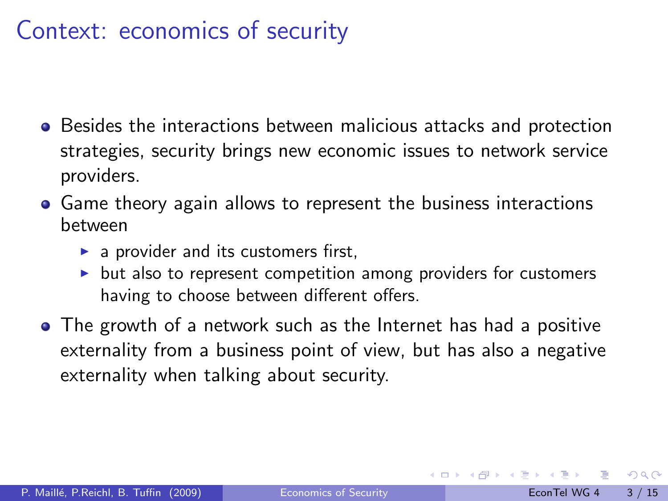#### Context: economics of security

- Besides the interactions between malicious attacks and protection strategies, security brings new economic issues to network service providers.
- Game theory again allows to represent the business interactions between
	- $\blacktriangleright$  a provider and its customers first,
	- $\triangleright$  but also to represent competition among providers for customers having to choose between different offers.
- The growth of a network such as the Internet has had a positive externality from a business point of view, but has also a negative externality when talking about security.

 $QQQ$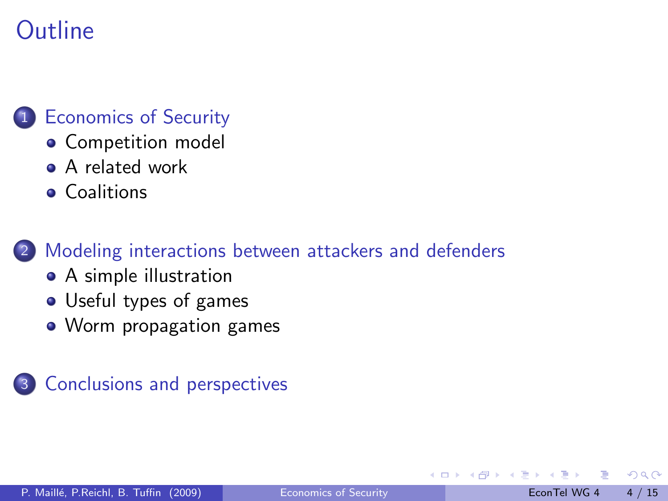# **Outline**



- [Competition model](#page-4-0)
- [A related work](#page-6-0)
- **•** [Coalitions](#page-8-0)

[Modeling interactions between attackers and defenders](#page-9-0)

- [A simple illustration](#page-9-0)
- [Useful types of games](#page-11-0)
- [Worm propagation games](#page-12-0)



<span id="page-3-0"></span> $200$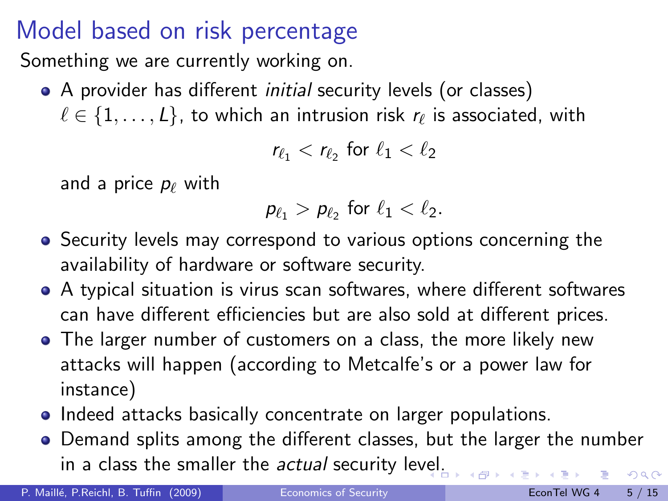## Model based on risk percentage

Something we are currently working on.

- A provider has different *initial* security levels (or classes)
	- $\ell \in \{1, \dots, L\}$ , to which an intrusion risk  $r_\ell$  is associated, with

$$
r_{\ell_1} < r_{\ell_2} \text{ for } \ell_1 < \ell_2
$$

and a price  $p_\ell$  with

<span id="page-4-0"></span>
$$
p_{\ell_1} > p_{\ell_2} \text{ for } \ell_1 < \ell_2.
$$

- **•** Security levels may correspond to various options concerning the availability of hardware or software security.
- A typical situation is virus scan softwares, where different softwares can have different efficiencies but are also sold at different prices.
- The larger number of customers on a class, the more likely new attacks will happen (according to Metcalfe's or a power law for instance)
- Indeed attacks basically concentrate on larger populations.
- Demand splits among the different classes, but the larger the number in a class the smaller the *actual* security le[vel.](#page-3-0)  $QQ$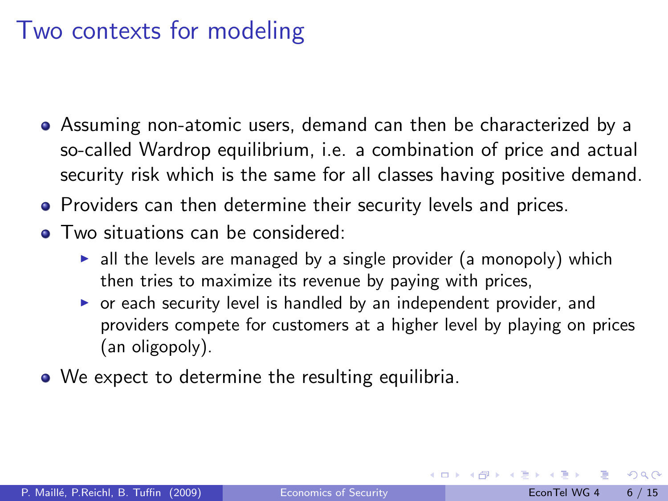#### Two contexts for modeling

- Assuming non-atomic users, demand can then be characterized by a so-called Wardrop equilibrium, i.e. a combination of price and actual security risk which is the same for all classes having positive demand.
- **•** Providers can then determine their security levels and prices.
- **Two situations can be considered:** 
	- $\triangleright$  all the levels are managed by a single provider (a monopoly) which then tries to maximize its revenue by paying with prices,
	- $\triangleright$  or each security level is handled by an independent provider, and providers compete for customers at a higher level by playing on prices (an oligopoly).
- We expect to determine the resulting equilibria.

 $QQQ$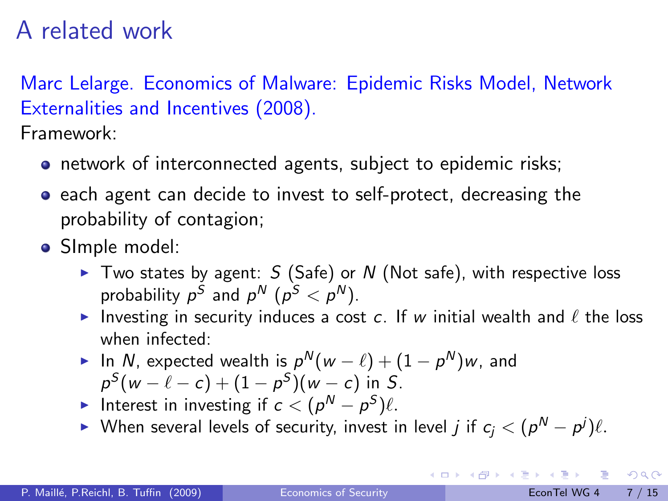### A related work

Marc Lelarge. Economics of Malware: Epidemic Risks Model, Network Externalities and Incentives (2008).

Framework:

- network of interconnected agents, subject to epidemic risks;
- **•** each agent can decide to invest to self-protect, decreasing the probability of contagion;
- **•** SImple model:
	- Two states by agent:  $S$  (Safe) or  $N$  (Not safe), with respective loss probability  $p^S$  and  $p^N$   $(p^S < p^N)$ .
	- Investing in security induces a cost c. If w initial wealth and  $\ell$  the loss when infected:
	- ► In N, expected wealth is  $p^N(w \ell) + (1 p^N)w$ , and  $p^S(w - \ell - c) + (1 - p^S)(w - c)$  in S.
	- Interest in investing if  $c < (p^N p^S)\ell$ .
	- ▶ When several levels of security, invest in level  $j$  if  $c_j < (p^N p^j) \ell$ .

<span id="page-6-0"></span>**KOD KARD KED KED E VAN**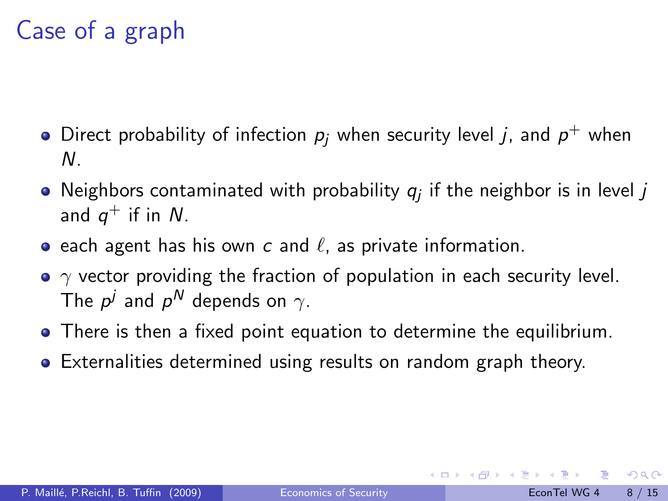# Case of a graph

- Direct probability of infection  $p_j$  when security level  $j$ , and  $p^+$  when N.
- Neighbors contaminated with probability  $q_j$  if the neighbor is in level  $j$ and  $q^+$  if in  $N$ .
- each agent has his own c and  $\ell$ , as private information.
- $\gamma$  vector providing the fraction of population in each security level. The  $\rho^j$  and  $\rho^N$  depends on  $\gamma.$
- There is then a fixed point equation to determine the equilibrium.
- Externalities determined using results on random graph theory.

 $QQQ$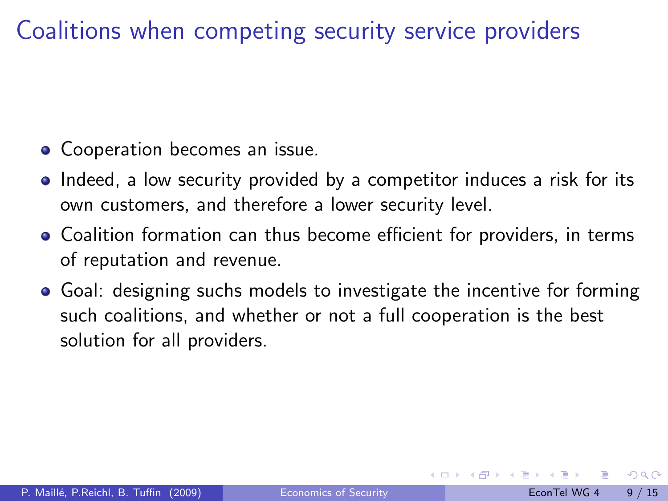Coalitions when competing security service providers

- Cooperation becomes an issue.
- Indeed, a low security provided by a competitor induces a risk for its own customers, and therefore a lower security level.
- Coalition formation can thus become efficient for providers, in terms of reputation and revenue.
- Goal: designing suchs models to investigate the incentive for forming such coalitions, and whether or not a full cooperation is the best solution for all providers.

<span id="page-8-0"></span> $200$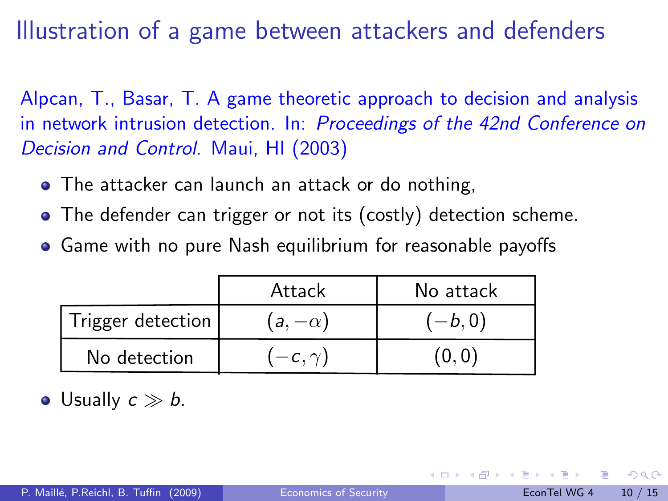Illustration of a game between attackers and defenders

Alpcan, T., Basar, T. A game theoretic approach to decision and analysis in network intrusion detection. In: Proceedings of the 42nd Conference on Decision and Control. Maui, HI (2003)

- The attacker can launch an attack or do nothing,
- The defender can trigger or not its (costly) detection scheme.
- Game with no pure Nash equilibrium for reasonable payoffs

|                   | Attack       | No attack |
|-------------------|--------------|-----------|
| Trigger detection | $a, -\alpha$ | (b,0)     |
| No detection      | $-c, \gamma$ |           |

• Usually  $c \gg b$ .

<span id="page-9-0"></span>つひひ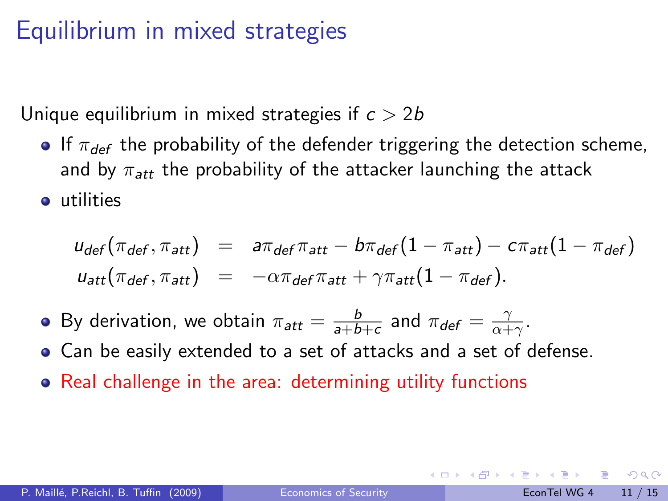## Equilibrium in mixed strategies

Unique equilibrium in mixed strategies if  $c > 2b$ 

- If  $\pi_{def}$  the probability of the defender triggering the detection scheme, and by  $\pi_{att}$  the probability of the attacker launching the attack
- utilities

$$
u_{def}(\pi_{def}, \pi_{att}) = a\pi_{def} \pi_{att} - b\pi_{def}(1 - \pi_{att}) - c\pi_{att}(1 - \pi_{def})
$$
  

$$
u_{att}(\pi_{def}, \pi_{att}) = -\alpha \pi_{def} \pi_{att} + \gamma \pi_{att}(1 - \pi_{def}).
$$

- By derivation, we obtain  $\pi_{att} = \frac{b}{a+b}$  $\frac{b}{a+b+c}$  and  $\pi_{def} = \frac{\gamma}{\alpha +}$  $\frac{\gamma}{\alpha+\gamma}$ .
- Can be easily extended to a set of attacks and a set of defense.
- Real challenge in the area: determining utility functions

- വൈറ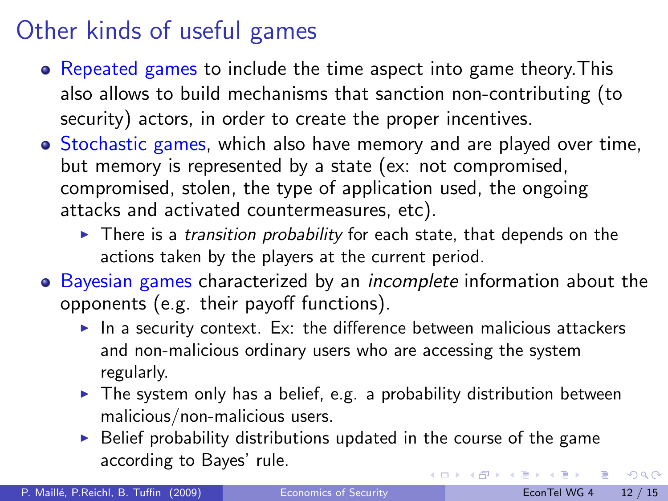# Other kinds of useful games

- Repeated games to include the time aspect into game theory. This also allows to build mechanisms that sanction non-contributing (to security) actors, in order to create the proper incentives.
- Stochastic games, which also have memory and are played over time, but memory is represented by a state (ex: not compromised, compromised, stolen, the type of application used, the ongoing attacks and activated countermeasures, etc).
	- $\blacktriangleright$  There is a *transition probability* for each state, that depends on the actions taken by the players at the current period.
- Bayesian games characterized by an *incomplete* information about the opponents (e.g. their payoff functions).
	- In a security context. Ex: the difference between malicious attackers and non-malicious ordinary users who are accessing the system regularly.
	- $\blacktriangleright$  The system only has a belief, e.g. a probability distribution between malicious/non-malicious users.
	- $\triangleright$  Belief probability distributions updated in the course of the game according to Bayes' rule.  $\left\{ \begin{array}{ccc} 1 & 0 & 0 \\ 0 & 1 & 0 \end{array} \right.$

<span id="page-11-0"></span> $\eta$ are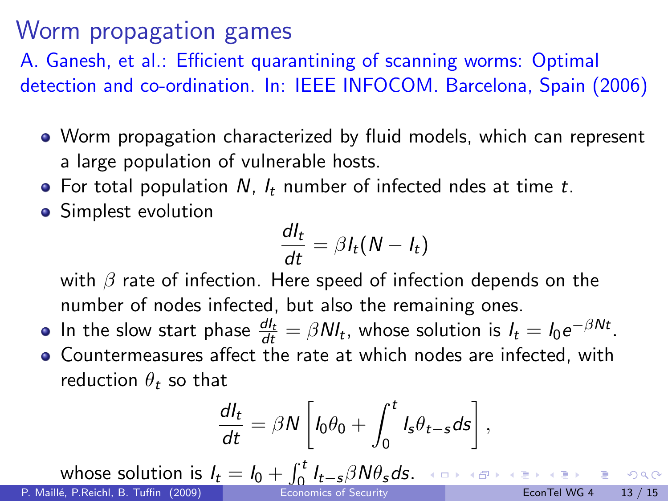### Worm propagation games

A. Ganesh, et al.: Efficient quarantining of scanning worms: Optimal detection and co-ordination. In: IEEE INFOCOM. Barcelona, Spain (2006)

- Worm propagation characterized by fluid models, which can represent a large population of vulnerable hosts.
- For total population N,  $I_t$  number of infected ndes at time t.
- Simplest evolution

$$
\frac{dl_t}{dt} = \beta I_t (N - I_t)
$$

with  $\beta$  rate of infection. Here speed of infection depends on the number of nodes infected, but also the remaining ones.

- In the slow start phase  $\frac{dI_t}{dt} = \beta N I_t$ , whose solution is  $I_t = I_0 e^{-\beta N t}$ .
- Countermeasures affect the rate at which nodes are infected, with reduction  $\theta_t$  so that

<span id="page-12-0"></span>
$$
\frac{dl_t}{dt} = \beta N \left[ I_0 \theta_0 + \int_0^t I_s \theta_{t-s} ds \right],
$$

whose solution is  $I_t = I_0 + \int_0^t I_{t-s} \beta N \theta_s ds$ .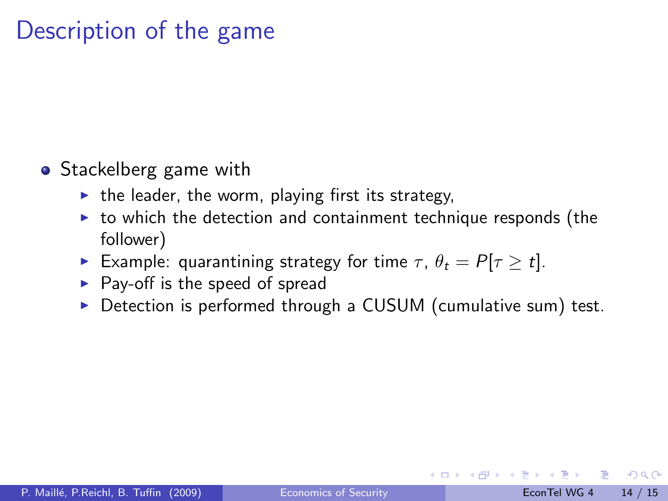# Description of the game

- **•** Stackelberg game with
	- $\blacktriangleright$  the leader, the worm, playing first its strategy,
	- $\triangleright$  to which the detection and containment technique responds (the follower)
	- Example: quarantining strategy for time  $\tau$ ,  $\theta_t = P[\tau \geq t]$ .
	- $\blacktriangleright$  Pay-off is the speed of spread
	- $\triangleright$  Detection is performed through a CUSUM (cumulative sum) test.

 $QQ$